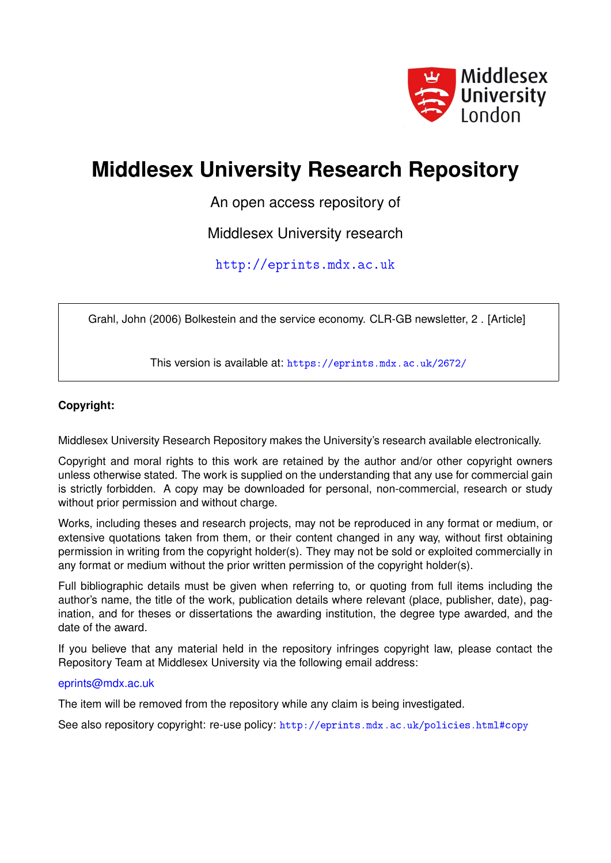

# **Middlesex University Research Repository**

An open access repository of

Middlesex University research

<http://eprints.mdx.ac.uk>

Grahl, John (2006) Bolkestein and the service economy. CLR-GB newsletter, 2 . [Article]

This version is available at: <https://eprints.mdx.ac.uk/2672/>

#### **Copyright:**

Middlesex University Research Repository makes the University's research available electronically.

Copyright and moral rights to this work are retained by the author and/or other copyright owners unless otherwise stated. The work is supplied on the understanding that any use for commercial gain is strictly forbidden. A copy may be downloaded for personal, non-commercial, research or study without prior permission and without charge.

Works, including theses and research projects, may not be reproduced in any format or medium, or extensive quotations taken from them, or their content changed in any way, without first obtaining permission in writing from the copyright holder(s). They may not be sold or exploited commercially in any format or medium without the prior written permission of the copyright holder(s).

Full bibliographic details must be given when referring to, or quoting from full items including the author's name, the title of the work, publication details where relevant (place, publisher, date), pagination, and for theses or dissertations the awarding institution, the degree type awarded, and the date of the award.

If you believe that any material held in the repository infringes copyright law, please contact the Repository Team at Middlesex University via the following email address:

#### [eprints@mdx.ac.uk](mailto:eprints@mdx.ac.uk)

The item will be removed from the repository while any claim is being investigated.

See also repository copyright: re-use policy: <http://eprints.mdx.ac.uk/policies.html#copy>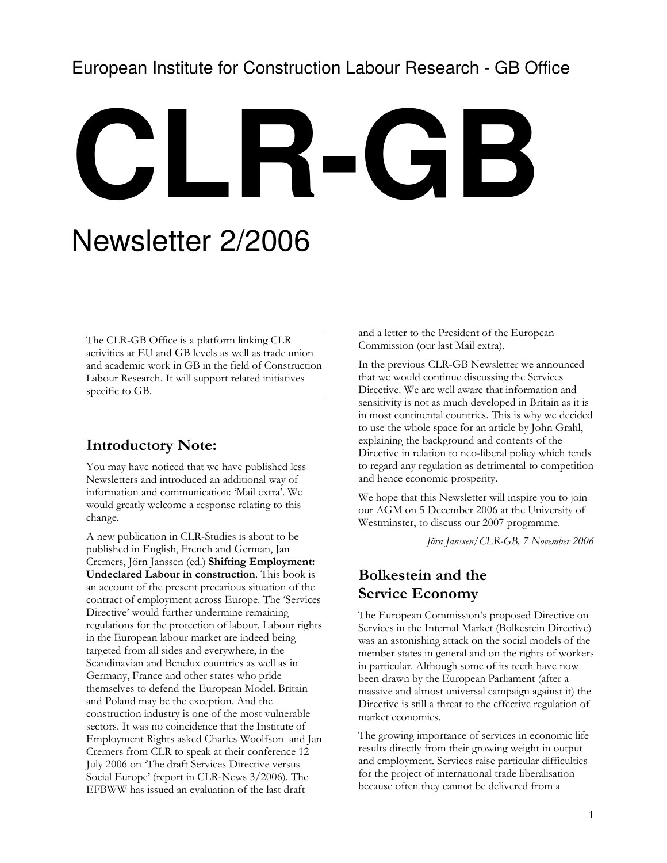# European Institute for Construction Labour Research - GB Office

# **CLR-GB**

# Newsletter 2/2006

The CLR-GB Office is a platform linking CLR activities at EU and GB levels as well as trade union and academic work in GB in the field of Construction Labour Research. It will support related initiatives specific to GB.

## Introductory Note:

You may have noticed that we have published less Newsletters and introduced an additional way of information and communication: 'Mail extra'. We would greatly welcome a response relating to this change.

A new publication in CLR-Studies is about to be published in English, French and German, Jan Cremers, Jörn Janssen (ed.) Shifting Employment: Undeclared Labour in construction. This book is an account of the present precarious situation of the contract of employment across Europe. The 'Services Directive' would further undermine remaining regulations for the protection of labour. Labour rights in the European labour market are indeed being targeted from all sides and everywhere, in the Scandinavian and Benelux countries as well as in Germany, France and other states who pride themselves to defend the European Model. Britain and Poland may be the exception. And the construction industry is one of the most vulnerable sectors. It was no coincidence that the Institute of Employment Rights asked Charles Woolfson and Jan Cremers from CLR to speak at their conference 12 July 2006 on 'The draft Services Directive versus Social Europe' (report in CLR-News 3/2006). The EFBWW has issued an evaluation of the last draft

and a letter to the President of the European Commission (our last Mail extra).

In the previous CLR-GB Newsletter we announced that we would continue discussing the Services Directive. We are well aware that information and sensitivity is not as much developed in Britain as it is in most continental countries. This is why we decided to use the whole space for an article by John Grahl, explaining the background and contents of the Directive in relation to neo-liberal policy which tends to regard any regulation as detrimental to competition and hence economic prosperity.

We hope that this Newsletter will inspire you to join our AGM on 5 December 2006 at the University of Westminster, to discuss our 2007 programme.

Jörn Janssen/CLR-GB, 7 November 2006

### Bolkestein and the Service Economy

The European Commission's proposed Directive on Services in the Internal Market (Bolkestein Directive) was an astonishing attack on the social models of the member states in general and on the rights of workers in particular. Although some of its teeth have now been drawn by the European Parliament (after a massive and almost universal campaign against it) the Directive is still a threat to the effective regulation of market economies.

The growing importance of services in economic life results directly from their growing weight in output and employment. Services raise particular difficulties for the project of international trade liberalisation because often they cannot be delivered from a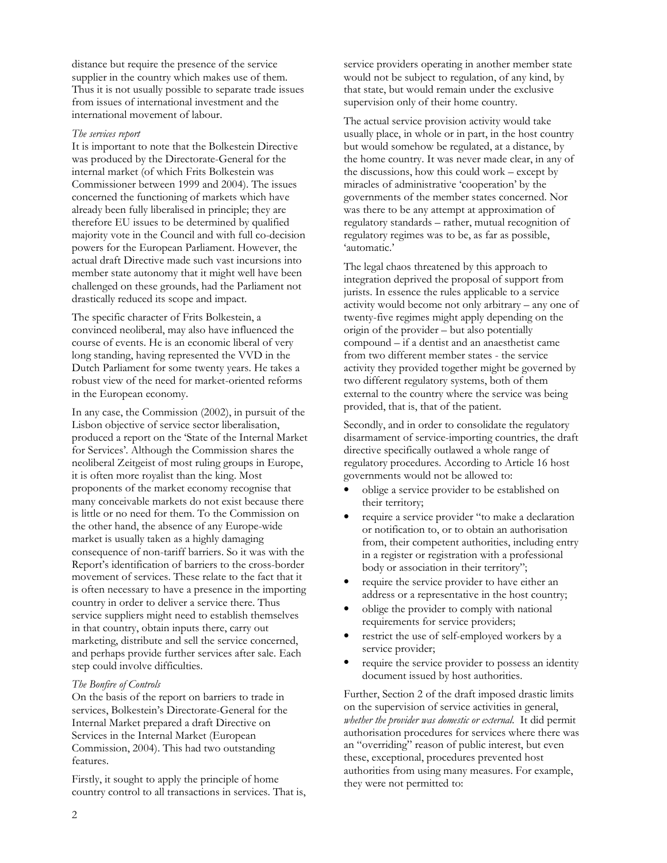distance but require the presence of the service supplier in the country which makes use of them. Thus it is not usually possible to separate trade issues from issues of international investment and the international movement of labour.

#### The services report

It is important to note that the Bolkestein Directive was produced by the Directorate-General for the internal market (of which Frits Bolkestein was Commissioner between 1999 and 2004). The issues concerned the functioning of markets which have already been fully liberalised in principle; they are therefore EU issues to be determined by qualified majority vote in the Council and with full co-decision powers for the European Parliament. However, the actual draft Directive made such vast incursions into member state autonomy that it might well have been challenged on these grounds, had the Parliament not drastically reduced its scope and impact.

The specific character of Frits Bolkestein, a convinced neoliberal, may also have influenced the course of events. He is an economic liberal of very long standing, having represented the VVD in the Dutch Parliament for some twenty years. He takes a robust view of the need for market-oriented reforms in the European economy.

In any case, the Commission (2002), in pursuit of the Lisbon objective of service sector liberalisation, produced a report on the 'State of the Internal Market for Services'. Although the Commission shares the neoliberal Zeitgeist of most ruling groups in Europe, it is often more royalist than the king. Most proponents of the market economy recognise that many conceivable markets do not exist because there is little or no need for them. To the Commission on the other hand, the absence of any Europe-wide market is usually taken as a highly damaging consequence of non-tariff barriers. So it was with the Report's identification of barriers to the cross-border movement of services. These relate to the fact that it is often necessary to have a presence in the importing country in order to deliver a service there. Thus service suppliers might need to establish themselves in that country, obtain inputs there, carry out marketing, distribute and sell the service concerned, and perhaps provide further services after sale. Each step could involve difficulties.

#### The Bonfire of Controls

On the basis of the report on barriers to trade in services, Bolkestein's Directorate-General for the Internal Market prepared a draft Directive on Services in the Internal Market (European Commission, 2004). This had two outstanding features.

Firstly, it sought to apply the principle of home country control to all transactions in services. That is, service providers operating in another member state would not be subject to regulation, of any kind, by that state, but would remain under the exclusive supervision only of their home country.

The actual service provision activity would take usually place, in whole or in part, in the host country but would somehow be regulated, at a distance, by the home country. It was never made clear, in any of the discussions, how this could work – except by miracles of administrative 'cooperation' by the governments of the member states concerned. Nor was there to be any attempt at approximation of regulatory standards – rather, mutual recognition of regulatory regimes was to be, as far as possible, 'automatic.'

The legal chaos threatened by this approach to integration deprived the proposal of support from jurists. In essence the rules applicable to a service activity would become not only arbitrary – any one of twenty-five regimes might apply depending on the origin of the provider – but also potentially compound – if a dentist and an anaesthetist came from two different member states - the service activity they provided together might be governed by two different regulatory systems, both of them external to the country where the service was being provided, that is, that of the patient.

Secondly, and in order to consolidate the regulatory disarmament of service-importing countries, the draft directive specifically outlawed a whole range of regulatory procedures. According to Article 16 host governments would not be allowed to:

- oblige a service provider to be established on their territory;
- require a service provider "to make a declaration or notification to, or to obtain an authorisation from, their competent authorities, including entry in a register or registration with a professional body or association in their territory";
- require the service provider to have either an address or a representative in the host country;
- oblige the provider to comply with national requirements for service providers;
- restrict the use of self-employed workers by a service provider;
- require the service provider to possess an identity document issued by host authorities.

Further, Section 2 of the draft imposed drastic limits on the supervision of service activities in general, whether the provider was domestic or external. It did permit authorisation procedures for services where there was an "overriding" reason of public interest, but even these, exceptional, procedures prevented host authorities from using many measures. For example, they were not permitted to: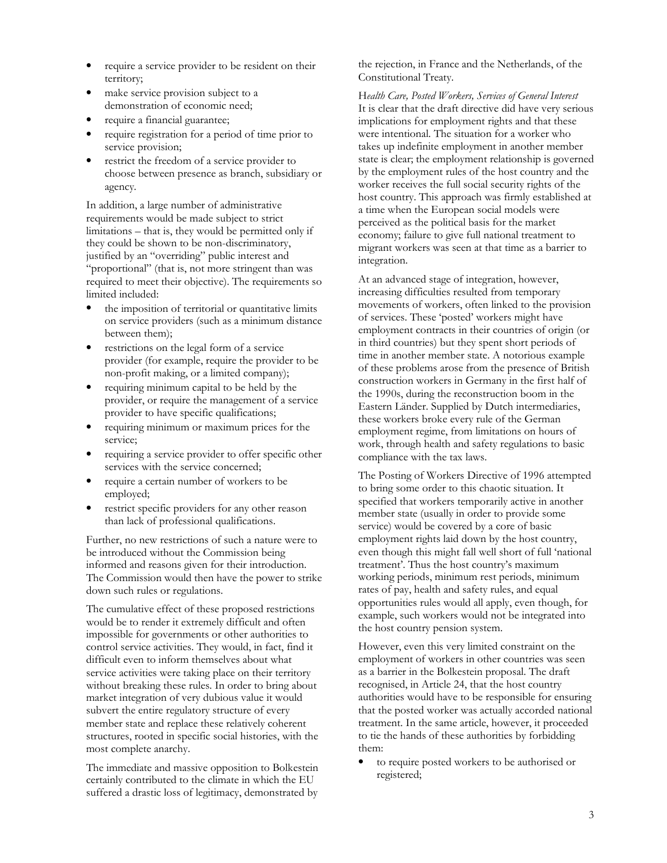- require a service provider to be resident on their territory;
- make service provision subject to a demonstration of economic need;
- require a financial guarantee;
- require registration for a period of time prior to service provision;
- restrict the freedom of a service provider to choose between presence as branch, subsidiary or agency.

In addition, a large number of administrative requirements would be made subject to strict limitations – that is, they would be permitted only if they could be shown to be non-discriminatory, justified by an "overriding" public interest and "proportional" (that is, not more stringent than was required to meet their objective). The requirements so limited included:

- the imposition of territorial or quantitative limits on service providers (such as a minimum distance between them);
- restrictions on the legal form of a service provider (for example, require the provider to be non-profit making, or a limited company);
- requiring minimum capital to be held by the provider, or require the management of a service provider to have specific qualifications;
- requiring minimum or maximum prices for the service;
- requiring a service provider to offer specific other services with the service concerned;
- require a certain number of workers to be employed;
- restrict specific providers for any other reason than lack of professional qualifications.

Further, no new restrictions of such a nature were to be introduced without the Commission being informed and reasons given for their introduction. The Commission would then have the power to strike down such rules or regulations.

The cumulative effect of these proposed restrictions would be to render it extremely difficult and often impossible for governments or other authorities to control service activities. They would, in fact, find it difficult even to inform themselves about what service activities were taking place on their territory without breaking these rules. In order to bring about market integration of very dubious value it would subvert the entire regulatory structure of every member state and replace these relatively coherent structures, rooted in specific social histories, with the most complete anarchy.

The immediate and massive opposition to Bolkestein certainly contributed to the climate in which the EU suffered a drastic loss of legitimacy, demonstrated by

the rejection, in France and the Netherlands, of the Constitutional Treaty.

Health Care, Posted Workers, Services of General Interest It is clear that the draft directive did have very serious implications for employment rights and that these were intentional. The situation for a worker who takes up indefinite employment in another member state is clear; the employment relationship is governed by the employment rules of the host country and the worker receives the full social security rights of the host country. This approach was firmly established at a time when the European social models were perceived as the political basis for the market economy; failure to give full national treatment to migrant workers was seen at that time as a barrier to integration.

At an advanced stage of integration, however, increasing difficulties resulted from temporary movements of workers, often linked to the provision of services. These 'posted' workers might have employment contracts in their countries of origin (or in third countries) but they spent short periods of time in another member state. A notorious example of these problems arose from the presence of British construction workers in Germany in the first half of the 1990s, during the reconstruction boom in the Eastern Länder. Supplied by Dutch intermediaries, these workers broke every rule of the German employment regime, from limitations on hours of work, through health and safety regulations to basic compliance with the tax laws.

The Posting of Workers Directive of 1996 attempted to bring some order to this chaotic situation. It specified that workers temporarily active in another member state (usually in order to provide some service) would be covered by a core of basic employment rights laid down by the host country, even though this might fall well short of full 'national treatment'. Thus the host country's maximum working periods, minimum rest periods, minimum rates of pay, health and safety rules, and equal opportunities rules would all apply, even though, for example, such workers would not be integrated into the host country pension system.

However, even this very limited constraint on the employment of workers in other countries was seen as a barrier in the Bolkestein proposal. The draft recognised, in Article 24, that the host country authorities would have to be responsible for ensuring that the posted worker was actually accorded national treatment. In the same article, however, it proceeded to tie the hands of these authorities by forbidding them:

• to require posted workers to be authorised or registered;